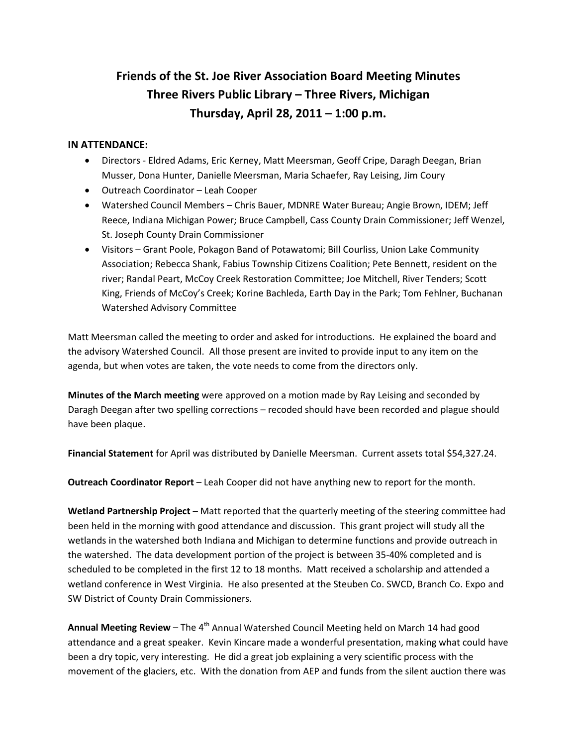## **Friends of the St. Joe River Association Board Meeting Minutes Three Rivers Public Library – Three Rivers, Michigan Thursday, April 28, 2011 – 1:00 p.m.**

## **IN ATTENDANCE:**

- Directors Eldred Adams, Eric Kerney, Matt Meersman, Geoff Cripe, Daragh Deegan, Brian Musser, Dona Hunter, Danielle Meersman, Maria Schaefer, Ray Leising, Jim Coury
- Outreach Coordinator Leah Cooper
- Watershed Council Members Chris Bauer, MDNRE Water Bureau; Angie Brown, IDEM; Jeff Reece, Indiana Michigan Power; Bruce Campbell, Cass County Drain Commissioner; Jeff Wenzel, St. Joseph County Drain Commissioner
- Visitors Grant Poole, Pokagon Band of Potawatomi; Bill Courliss, Union Lake Community Association; Rebecca Shank, Fabius Township Citizens Coalition; Pete Bennett, resident on the river; Randal Peart, McCoy Creek Restoration Committee; Joe Mitchell, River Tenders; Scott King, Friends of McCoy's Creek; Korine Bachleda, Earth Day in the Park; Tom Fehlner, Buchanan Watershed Advisory Committee

Matt Meersman called the meeting to order and asked for introductions. He explained the board and the advisory Watershed Council. All those present are invited to provide input to any item on the agenda, but when votes are taken, the vote needs to come from the directors only.

**Minutes of the March meeting** were approved on a motion made by Ray Leising and seconded by Daragh Deegan after two spelling corrections – recoded should have been recorded and plague should have been plaque.

**Financial Statement** for April was distributed by Danielle Meersman. Current assets total \$54,327.24.

**Outreach Coordinator Report** – Leah Cooper did not have anything new to report for the month.

**Wetland Partnership Project** – Matt reported that the quarterly meeting of the steering committee had been held in the morning with good attendance and discussion. This grant project will study all the wetlands in the watershed both Indiana and Michigan to determine functions and provide outreach in the watershed. The data development portion of the project is between 35-40% completed and is scheduled to be completed in the first 12 to 18 months. Matt received a scholarship and attended a wetland conference in West Virginia. He also presented at the Steuben Co. SWCD, Branch Co. Expo and SW District of County Drain Commissioners.

**Annual Meeting Review –** The 4<sup>th</sup> Annual Watershed Council Meeting held on March 14 had good attendance and a great speaker. Kevin Kincare made a wonderful presentation, making what could have been a dry topic, very interesting. He did a great job explaining a very scientific process with the movement of the glaciers, etc. With the donation from AEP and funds from the silent auction there was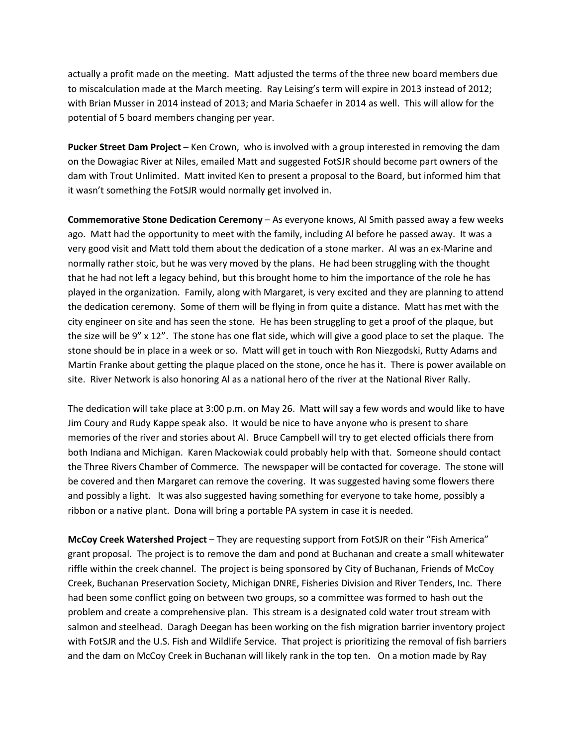actually a profit made on the meeting. Matt adjusted the terms of the three new board members due to miscalculation made at the March meeting. Ray Leising's term will expire in 2013 instead of 2012; with Brian Musser in 2014 instead of 2013; and Maria Schaefer in 2014 as well. This will allow for the potential of 5 board members changing per year.

**Pucker Street Dam Project** – Ken Crown, who is involved with a group interested in removing the dam on the Dowagiac River at Niles, emailed Matt and suggested FotSJR should become part owners of the dam with Trout Unlimited. Matt invited Ken to present a proposal to the Board, but informed him that it wasn't something the FotSJR would normally get involved in.

**Commemorative Stone Dedication Ceremony** – As everyone knows, Al Smith passed away a few weeks ago. Matt had the opportunity to meet with the family, including Al before he passed away. It was a very good visit and Matt told them about the dedication of a stone marker. Al was an ex-Marine and normally rather stoic, but he was very moved by the plans. He had been struggling with the thought that he had not left a legacy behind, but this brought home to him the importance of the role he has played in the organization. Family, along with Margaret, is very excited and they are planning to attend the dedication ceremony. Some of them will be flying in from quite a distance. Matt has met with the city engineer on site and has seen the stone. He has been struggling to get a proof of the plaque, but the size will be 9" x 12". The stone has one flat side, which will give a good place to set the plaque. The stone should be in place in a week or so. Matt will get in touch with Ron Niezgodski, Rutty Adams and Martin Franke about getting the plaque placed on the stone, once he has it. There is power available on site. River Network is also honoring Al as a national hero of the river at the National River Rally.

The dedication will take place at 3:00 p.m. on May 26. Matt will say a few words and would like to have Jim Coury and Rudy Kappe speak also. It would be nice to have anyone who is present to share memories of the river and stories about Al. Bruce Campbell will try to get elected officials there from both Indiana and Michigan. Karen Mackowiak could probably help with that. Someone should contact the Three Rivers Chamber of Commerce. The newspaper will be contacted for coverage. The stone will be covered and then Margaret can remove the covering. It was suggested having some flowers there and possibly a light. It was also suggested having something for everyone to take home, possibly a ribbon or a native plant. Dona will bring a portable PA system in case it is needed.

**McCoy Creek Watershed Project** – They are requesting support from FotSJR on their "Fish America" grant proposal. The project is to remove the dam and pond at Buchanan and create a small whitewater riffle within the creek channel. The project is being sponsored by City of Buchanan, Friends of McCoy Creek, Buchanan Preservation Society, Michigan DNRE, Fisheries Division and River Tenders, Inc. There had been some conflict going on between two groups, so a committee was formed to hash out the problem and create a comprehensive plan. This stream is a designated cold water trout stream with salmon and steelhead. Daragh Deegan has been working on the fish migration barrier inventory project with FotSJR and the U.S. Fish and Wildlife Service. That project is prioritizing the removal of fish barriers and the dam on McCoy Creek in Buchanan will likely rank in the top ten. On a motion made by Ray